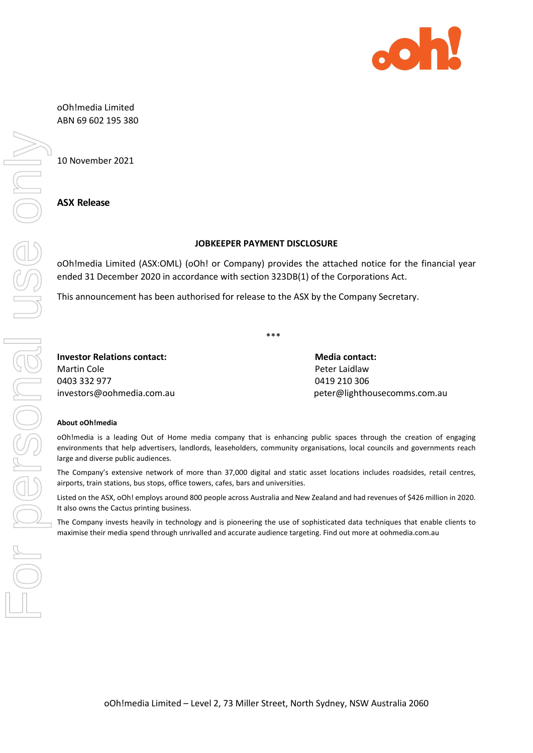

oOh!media Limited ABN 69 602 195 380

10 November 2021

### **ASX Release**

### **JOBKEEPER PAYMENT DISCLOSURE**

oOh!media Limited (ASX:OML) (oOh! or Company) provides the attached notice for the financial year ended 31 December 2020 in accordance with section 323DB(1) of the Corporations Act.

This announcement has been authorised for release to the ASX by the Company Secretary.

\*\*\*

**Investor Relations contact: Media contact: Media contact:** Martin Cole **Peter Laidlaw** 0403 332 977 0419 210 306

[investors@oohmedia.com.au](mailto:investors@oohmedia.com.au) beter@lighthousecomms.com.au [peter@lighthousecomms.com.au](mailto:peter@lighthousecomms.com.au)

#### **About oOh!media**

oOh!media is a leading Out of Home media company that is enhancing public spaces through the creation of engaging environments that help advertisers, landlords, leaseholders, community organisations, local councils and governments reach large and diverse public audiences.

The Company's extensive network of more than 37,000 digital and static asset locations includes roadsides, retail centres, airports, train stations, bus stops, office towers, cafes, bars and universities.

Listed on the ASX, oOh! employs around 800 people across Australia and New Zealand and had revenues of \$426 million in 2020. It also owns the Cactus printing business.

The Company invests heavily in technology and is pioneering the use of sophisticated data techniques that enable clients to maximise their media spend through unrivalled and accurate audience targeting. Find out more at oohmedia.com.au